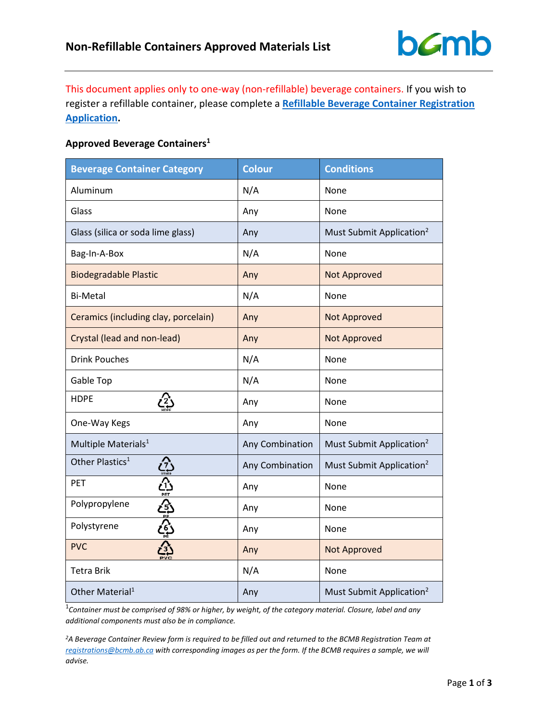

This document applies only to one-way (non-refillable) beverage containers. If you wish to register a refillable container, please complete a **[Refillable Beverage Container Registration](https://www.bcmb.ab.ca/uploads/source/Manufacturers_and_Retailers/Refillable_Application/1._2019.10.22.Refillable.Container.Registration.Application.Package.FINAL.pdf)  [Application.](https://www.bcmb.ab.ca/uploads/source/Manufacturers_and_Retailers/Refillable_Application/1._2019.10.22.Refillable.Container.Registration.Application.Package.FINAL.pdf)**

## **Approved Beverage Containers1**

| <b>Beverage Container Category</b>     | <b>Colour</b>   | <b>Conditions</b>                    |  |
|----------------------------------------|-----------------|--------------------------------------|--|
| Aluminum                               | N/A             | None                                 |  |
| Glass                                  | Any             | None                                 |  |
| Glass (silica or soda lime glass)      | Any             | Must Submit Application <sup>2</sup> |  |
| Bag-In-A-Box                           | N/A             | None                                 |  |
| <b>Biodegradable Plastic</b>           | Any             | <b>Not Approved</b>                  |  |
| <b>Bi-Metal</b>                        | N/A             | None                                 |  |
| Ceramics (including clay, porcelain)   | Any             | <b>Not Approved</b>                  |  |
| Crystal (lead and non-lead)            | Any             | <b>Not Approved</b>                  |  |
| <b>Drink Pouches</b>                   | N/A             | None                                 |  |
| Gable Top                              | N/A             | None                                 |  |
| <b>HDPE</b><br>Ĺ2,                     | Any             | None                                 |  |
| One-Way Kegs                           | Any             | None                                 |  |
| Multiple Materials <sup>1</sup>        | Any Combination | Must Submit Application <sup>2</sup> |  |
| Other Plastics <sup>1</sup>            | Any Combination | Must Submit Application <sup>2</sup> |  |
| PET                                    | Any             | None                                 |  |
| Polypropylene                          | Any             | None                                 |  |
| ن) ان از بن ان بن ان ان<br>Polystyrene | Any             | None                                 |  |
| <b>PVC</b>                             | Any             | Not Approved                         |  |
| <b>Tetra Brik</b>                      | N/A             | None                                 |  |
| Other Material <sup>1</sup>            | Any             | Must Submit Application <sup>2</sup> |  |

1 *Container must be comprised of 98% or higher, by weight, of the category material. Closure, label and any additional components must also be in compliance.*

*2A Beverage Container Review form is required to be filled out and returned to the BCMB Registration Team at [registrations@bcmb.ab.ca](mailto:registrations@bcmb.ab.ca) with corresponding images as per the form. If the BCMB requires a sample, we will advise.*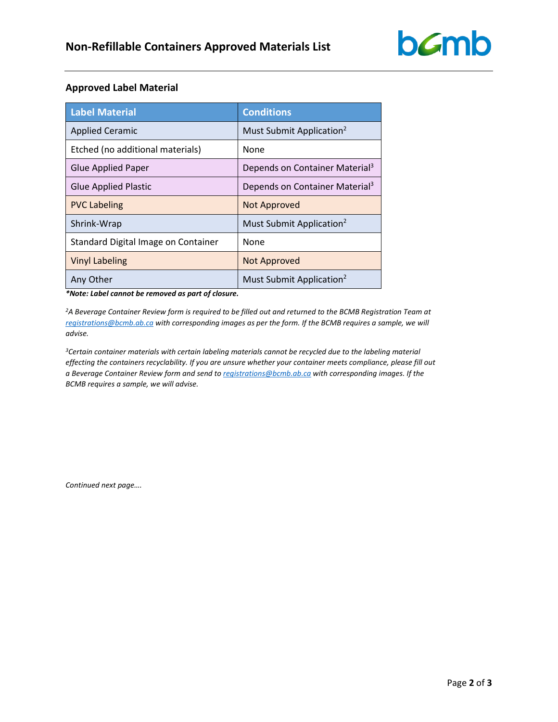

## **Approved Label Material**

| <b>Label Material</b>               | <b>Conditions</b>                          |
|-------------------------------------|--------------------------------------------|
| <b>Applied Ceramic</b>              | Must Submit Application <sup>2</sup>       |
| Etched (no additional materials)    | <b>None</b>                                |
| <b>Glue Applied Paper</b>           | Depends on Container Material <sup>3</sup> |
| <b>Glue Applied Plastic</b>         | Depends on Container Material <sup>3</sup> |
| <b>PVC Labeling</b>                 | <b>Not Approved</b>                        |
| Shrink-Wrap                         | Must Submit Application <sup>2</sup>       |
| Standard Digital Image on Container | None                                       |
| <b>Vinyl Labeling</b>               | <b>Not Approved</b>                        |
| Any Other                           | Must Submit Application <sup>2</sup>       |

*\*Note: Label cannot be removed as part of closure.*

*2A Beverage Container Review form is required to be filled out and returned to the BCMB Registration Team at [registrations@bcmb.ab.ca](mailto:registrations@bcmb.ab.ca) with corresponding images as per the form. If the BCMB requires a sample, we will advise.* 

*3Certain container materials with certain labeling materials cannot be recycled due to the labeling material effecting the containers recyclability. If you are unsure whether your container meets compliance, please fill out a Beverage Container Review form and send to [registrations@bcmb.ab.ca](mailto:registrations@bcmb.ab.ca) with corresponding images. If the BCMB requires a sample, we will advise.*

*Continued next page….*